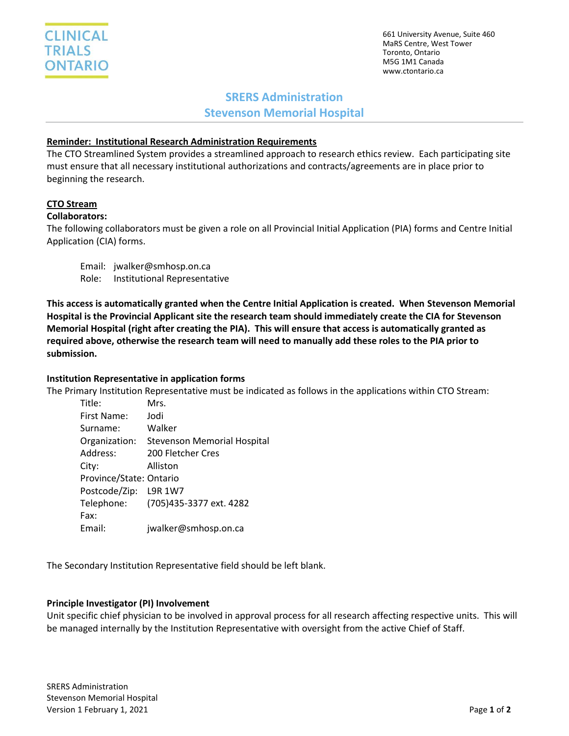661 University Avenue, Suite 460 MaRS Centre, West Tower Toronto, Ontario M5G 1M1 Canada www.ctontario.ca

# **SRERS Administration**

**Stevenson Memorial Hospital**

## **Reminder: Institutional Research Administration Requirements**

The CTO Streamlined System provides a streamlined approach to research ethics review. Each participating site must ensure that all necessary institutional authorizations and contracts/agreements are in place prior to beginning the research.

## **CTO Stream**

## **Collaborators:**

The following collaborators must be given a role on all Provincial Initial Application (PIA) forms and Centre Initial Application (CIA) forms.

Email: jwalker@smhosp.on.ca Role: Institutional Representative

**This access is automatically granted when the Centre Initial Application is created. When Stevenson Memorial Hospital is the Provincial Applicant site the research team should immediately create the CIA for Stevenson Memorial Hospital (right after creating the PIA). This will ensure that access is automatically granted as required above, otherwise the research team will need to manually add these roles to the PIA prior to submission.**

### **Institution Representative in application forms**

The Primary Institution Representative must be indicated as follows in the applications within CTO Stream:

| Title:                  | Mrs.                                      |
|-------------------------|-------------------------------------------|
| First Name:             | Jodi                                      |
| Surname:                | Walker                                    |
|                         | Organization: Stevenson Memorial Hospital |
| Address:                | 200 Fletcher Cres                         |
| City:                   | Alliston                                  |
| Province/State: Ontario |                                           |
| Postcode/Zip: L9R 1W7   |                                           |
|                         | Telephone: (705)435-3377 ext. 4282        |
| Fax:                    |                                           |
| Email:                  | jwalker@smhosp.on.ca                      |

The Secondary Institution Representative field should be left blank.

### **Principle Investigator (PI) Involvement**

Unit specific chief physician to be involved in approval process for all research affecting respective units. This will be managed internally by the Institution Representative with oversight from the active Chief of Staff.